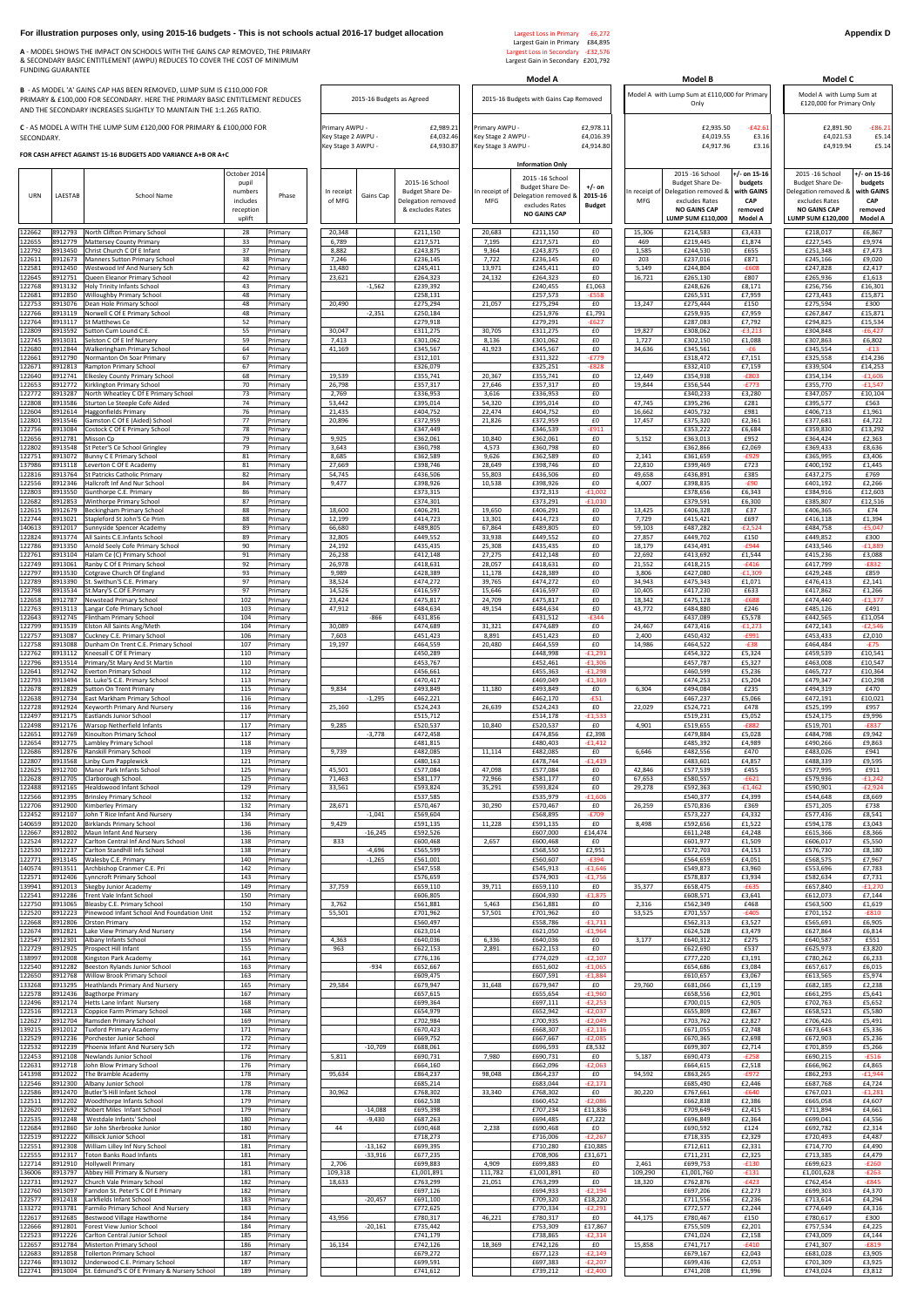## **For illustration purposes only, using 2015-16 budgets - This is not schools actual 2016-17 budget allocation** Largest Loss in Primary -£6,272 **Appendix D Appendix D**

**A** - MODEL SHOWS THE IMPACT ON SCHOOLS WITH THE GAINS CAP REMOVED, THE PRIMARY Largest Loss in Secondary -£32,576 & SECONDARY BASIC ENTITLEMENT (AWPU) REDUCES TO COVER THE COST OF MINIMUM Largest Gain in Secondary £201,792 FUNDING GUARANTEE

## **FOR CASH AFFECT AGAINST 15-16 BUDGETS ADD VARIANCE A+B OR A+C**

|                                                                                                   |                           |                                                                                     |                             | Model A                                                                                                                                |                                      |                                     | Model B                                                                                                                          | Model C                                                                     |                                                                                                                                   |                                                                             |  |
|---------------------------------------------------------------------------------------------------|---------------------------|-------------------------------------------------------------------------------------|-----------------------------|----------------------------------------------------------------------------------------------------------------------------------------|--------------------------------------|-------------------------------------|----------------------------------------------------------------------------------------------------------------------------------|-----------------------------------------------------------------------------|-----------------------------------------------------------------------------------------------------------------------------------|-----------------------------------------------------------------------------|--|
|                                                                                                   | 2015-16 Budgets as Agreed |                                                                                     |                             | 2015-16 Budgets with Gains Cap Removed                                                                                                 |                                      |                                     | Model A with Lump Sum at £110,000 for Primary<br>Only                                                                            | Model A with Lump Sum at<br>£120,000 for Primary Only                       |                                                                                                                                   |                                                                             |  |
| £2,989.21<br>Primary AWPU -<br>£4,032.46<br>Key Stage 2 AWPU -<br>Key Stage 3 AWPU -<br>£4,930.87 |                           | Primary AWPU -<br>Key Stage 2 AWPU -<br>Key Stage 3 AWPU -                          |                             | £2,978.11<br>£4,016.39<br>£4,914.80                                                                                                    |                                      | £2,935.50<br>£4,019.55<br>£4,917.96 | £2,891.90<br>$-£86.21$<br>£4,021.53<br>£5.14<br>£5.14<br>£4,919.94                                                               |                                                                             |                                                                                                                                   |                                                                             |  |
| In receipt<br>of MFG                                                                              | Gains Cap                 | 2015-16 School<br><b>Budget Share De-</b><br>Delegation removed<br>& excludes Rates | In receipt of<br><b>MFG</b> | <b>Information Only</b><br>2015 -16 School<br><b>Budget Share De-</b><br>Delegation removed &<br>excludes Rates<br><b>NO GAINS CAP</b> | $+/-$ on<br>2015-16<br><b>Budget</b> | In receipt of<br><b>MFG</b>         | 2015 -16 School<br><b>Budget Share De-</b><br>Delegation removed &<br>excludes Rates<br><b>NO GAINS CAP</b><br>LUMP SUM £110,000 | $+/-$ on 15-16<br>budgets<br>with GAINS<br>CAP<br>removed<br><b>Model A</b> | 2015 - 16 School<br><b>Budget Share De-</b><br>Delegation removed &<br>excludes Rates<br><b>NO GAINS CAP</b><br>LUMP SUM £120,000 | $+/-$ on 15-16<br>budgets<br>with GAINS<br><b>CAP</b><br>removed<br>Model A |  |
| 20,348                                                                                            |                           | £211,150                                                                            | 20,683                      | £211,150                                                                                                                               | £0                                   | 15,306                              | £214,583                                                                                                                         | £3,433                                                                      | £218,017                                                                                                                          | £6,867                                                                      |  |
| 6,789<br>8,882                                                                                    |                           | £217,571<br>£243,875                                                                | 7,195<br>9,364              | £217,571<br>£243,875                                                                                                                   | £0<br>£0                             | 469<br>1,585                        | £219,445<br>£244,530                                                                                                             | £1,874<br>£655                                                              | £227,545<br>£251,348                                                                                                              | £9,974<br>£7,473                                                            |  |
| 7,246                                                                                             |                           | £236,145                                                                            | 7,722                       | £236,145                                                                                                                               | £0                                   | 203                                 | £237,016                                                                                                                         | £871                                                                        | £245,166                                                                                                                          | £9,020                                                                      |  |
| 13,480<br>23,621                                                                                  |                           | £245,411<br>£264,323                                                                | 13,971<br>24,132            | £245,411<br>£264,323                                                                                                                   | £0<br>£0                             | 5,149<br>16,721                     | £244,804<br>£265,130                                                                                                             | $-£608$<br>£807                                                             | £247,828<br>£265,936                                                                                                              | £2,417<br>£1,613                                                            |  |
|                                                                                                   | $-1,562$                  | £239,392                                                                            |                             | £240,455                                                                                                                               | £1,063                               |                                     | £248,626                                                                                                                         | £8,171                                                                      | £256,756                                                                                                                          | £16,301                                                                     |  |
| 20,490                                                                                            |                           | £258,131<br>£275,294                                                                | 21,057                      | £257,573<br>£275,294                                                                                                                   | $-E558$<br>£0                        | 13,247                              | £265,531<br>£275,444                                                                                                             | £7,959<br>£150                                                              | £273,443<br>£275,594                                                                                                              | £15,871<br>£300                                                             |  |
|                                                                                                   | $-2,351$                  | £250,184                                                                            |                             | £251,976                                                                                                                               | £1,791                               |                                     | £259,935                                                                                                                         | £7,959                                                                      | £267,847                                                                                                                          | £15,871                                                                     |  |
| 30,047                                                                                            |                           | £279,918<br>£311,275                                                                | 30,705                      | £279,291<br>£311,275                                                                                                                   | $-E627$<br>£0                        | 19,827                              | £287,083<br>£308,062                                                                                                             | £7,792<br>$-£3,213$                                                         | £294,825<br>£304,848                                                                                                              | £15,534<br>$-£6,427$                                                        |  |
| 7,413                                                                                             |                           | £301,062                                                                            | 8,136                       | £301,062<br>£345,567                                                                                                                   | £0                                   | 1,727                               | £302,150                                                                                                                         | £1,088                                                                      | £307,863                                                                                                                          | £6,802                                                                      |  |
| 41,169                                                                                            |                           | £345,567<br>£312,101                                                                | 41,923                      | £311,322                                                                                                                               | £0<br>$-E779$                        | 34,636                              | £345,561<br>£318,472                                                                                                             | $-E6$<br>£7,151                                                             | £345,554<br>£325,558                                                                                                              | $-£13$<br>£14,236                                                           |  |
| 19,539                                                                                            |                           | £326,079<br>£355,741                                                                | 20,367                      | £325,251<br>£355,741                                                                                                                   | $-E828$<br>£0                        | 12,449                              | £332,410                                                                                                                         | £7,159<br>$-E803$                                                           | £339,504<br>£354,134                                                                                                              | £14,253<br>$-£1,606$                                                        |  |
| 26,798                                                                                            |                           | £357,317                                                                            | 27,646                      | £357,317                                                                                                                               | £0                                   | 19,844                              | £354,938<br>£356,544                                                                                                             | $-E773$                                                                     | £355,770                                                                                                                          | $-£1,547$                                                                   |  |
| 2,769<br>53,442                                                                                   |                           | £336,953<br>£395,014                                                                | 3,616<br>54,320             | £336,953<br>£395,014                                                                                                                   | £0<br>£0                             | 47,745                              | £340,233<br>£395,296                                                                                                             | £3,280<br>£281                                                              | £347,057<br>£395,577                                                                                                              | £10,104<br>£563                                                             |  |
| 21,435                                                                                            |                           | £404,752                                                                            | 22,474                      | £404,752                                                                                                                               | £0                                   | 16,662                              | £405,732                                                                                                                         | £981                                                                        | £406,713                                                                                                                          | £1,961                                                                      |  |
| 20,896                                                                                            |                           | £372,959<br>£347,449                                                                | 21,826                      | £372,959<br>£346,539                                                                                                                   | £0<br>$-£911$                        | 17,457                              | £375,320<br>£353,222                                                                                                             | £2,361<br>£6,684                                                            | £377,681<br>£359,830                                                                                                              | £4,722<br>£13,292                                                           |  |
| 9,925                                                                                             |                           | £362,061                                                                            | 10,840                      | £362,061                                                                                                                               | £0                                   | 5,152                               | £363,013                                                                                                                         | £952                                                                        | £364,424                                                                                                                          | £2,363                                                                      |  |
| 3,643<br>8,685                                                                                    |                           | £360,798<br>£362,589                                                                | 4,573<br>9,626              | £360,798<br>£362,589                                                                                                                   | £0<br>£0                             | 2,141                               | £362,866<br>£361,659                                                                                                             | £2,069<br>$-£929$                                                           | £369,433<br>£365,995                                                                                                              | £8,636<br>£3,406                                                            |  |
| 27,669                                                                                            |                           | £398,746                                                                            | 28,649                      | £398,746                                                                                                                               | £0                                   | 22,810                              | £399,469                                                                                                                         | £723                                                                        | £400,192                                                                                                                          | £1,445                                                                      |  |
| 54,745<br>9,477                                                                                   |                           | £436,506<br>£398,926                                                                | 55,803<br>10,538            | £436,506<br>£398,926                                                                                                                   | £0<br>£0                             | 49,658<br>4,007                     | £436,891<br>£398,835                                                                                                             | £385<br>$-£90$                                                              | £437,275<br>£401,192                                                                                                              | £769<br>£2,266                                                              |  |
|                                                                                                   |                           | £373,315                                                                            |                             | £372,313                                                                                                                               | $-f1,002$                            |                                     | £378,656                                                                                                                         | £6,343                                                                      | £384,916                                                                                                                          | £12,603                                                                     |  |
| 18,600                                                                                            |                           | £374,301<br>£406,291                                                                | 19,650                      | £373,291<br>£406,291                                                                                                                   | $-£1,010$<br>£0                      | 13,425                              | £379,591<br>£406,328                                                                                                             | £6,300<br>£37                                                               | £385,807<br>£406,365                                                                                                              | £12,516<br>£74                                                              |  |
| 12,199                                                                                            |                           | £414,723                                                                            | 13,301                      | £414,723                                                                                                                               | £0                                   | 7,729                               | £415,421                                                                                                                         | £697                                                                        | £416,118                                                                                                                          | £1,394                                                                      |  |
| 66,680<br>32,805                                                                                  |                           | £489,805<br>£449,552                                                                | 67,864<br>33,938            | £489,805<br>£449,552                                                                                                                   | £0<br>£0                             | 59,103<br>27,857                    | £487,282<br>£449,702                                                                                                             | $-E2,524$<br>£150                                                           | £484,758<br>£449,852                                                                                                              | $-£5,047$<br>£300                                                           |  |
| 24,192                                                                                            |                           | £435,435                                                                            | 25,308                      | £435,435                                                                                                                               | £0                                   | 18,179                              | £434,491                                                                                                                         | $-£944$                                                                     | £433,546                                                                                                                          | $-£1,889$                                                                   |  |
| 26,238<br>26,978                                                                                  |                           | £412,148<br>£418,631                                                                | 27,275<br>28,057            | £412,148<br>£418,631                                                                                                                   | £0<br>£0                             | 22,692<br>21,552                    | £413,692<br>£418,215                                                                                                             | £1,544<br>$-E416$                                                           | £415,236<br>£417,799                                                                                                              | £3,088<br>$-E832$                                                           |  |
| 9,989                                                                                             |                           | £428,389                                                                            | 11,178                      | £428,389                                                                                                                               | £0                                   | 3,806                               | £427,080                                                                                                                         | $-£1,309$                                                                   | £429,248                                                                                                                          | £859                                                                        |  |
| 38,524<br>14,526                                                                                  |                           | £474,272<br>£416,597                                                                | 39,765<br>15,646            | £474,272<br>£416,597                                                                                                                   | £0<br>£0                             | 34,943<br>10,405                    | £475,343<br>£417,230                                                                                                             | £1,071<br>£633                                                              | £476,413<br>£417,862                                                                                                              | £2,141<br>£1,266                                                            |  |
| 23,424                                                                                            |                           | £475,817                                                                            | 24,709                      | £475,817                                                                                                                               | £0                                   | 18,342                              | £475,128                                                                                                                         | $-E688$                                                                     | £474,440                                                                                                                          | $-£1,377$                                                                   |  |
| 47,912                                                                                            | $-866$                    | £484,634<br>£431,856                                                                | 49,154                      | £484,634<br>£431,512                                                                                                                   | £0<br>$-£344$                        | 43,772                              | £484,880<br>£437,089                                                                                                             | £246<br>£5,578                                                              | £485,126<br>£442,565                                                                                                              | £491<br>£11,054                                                             |  |
| 30,089                                                                                            |                           | £474,689                                                                            | 31,321                      | £474,689                                                                                                                               | £0                                   | 24,467                              | £473,416                                                                                                                         | $-f1,273$                                                                   | £472,143                                                                                                                          | $-E2,546$                                                                   |  |
| 7,603<br>19,197                                                                                   |                           | £451,423<br>£464,559                                                                | 8,891<br>20,480             | £451,423<br>£464,559                                                                                                                   | £0<br>$\pmb{\text{f0}}$              | 2,400<br>14,986                     | £450,432<br>£464,522                                                                                                             | $-£991$<br>$-£38$                                                           | £453,433<br>£464,484                                                                                                              | £2,010<br>$-£75$                                                            |  |
|                                                                                                   |                           | £450,289                                                                            |                             | £448,998                                                                                                                               | $-f1,291$                            |                                     | £454,322                                                                                                                         | £5,324                                                                      | £459,539                                                                                                                          | £10,541                                                                     |  |
|                                                                                                   |                           | £453,767<br>£456,661                                                                |                             | £452,461<br>£455,363                                                                                                                   | $-£1,306$<br>$-f1,298$               |                                     | £457,787<br>£460,599                                                                                                             | £5,327<br>£5,236                                                            | £463,008<br>£465,727                                                                                                              | £10,547<br>£10,364                                                          |  |
|                                                                                                   |                           | £470,417                                                                            |                             | £469,049                                                                                                                               | $-£1,369$                            |                                     | £474,253                                                                                                                         | £5,204                                                                      | £479,347                                                                                                                          | £10,298                                                                     |  |
| 9,834                                                                                             | $-1,295$                  | £493,849<br>£462,221                                                                | 11,180                      | £493,849<br>£462,170                                                                                                                   | £0<br>$-£51$                         | 6,304                               | £494,084<br>£467,237                                                                                                             | £235<br>£5,066                                                              | £494,319<br>£472,191                                                                                                              | £470<br>£10,021                                                             |  |
| 25,160                                                                                            |                           | £524,243                                                                            | 26,639                      | £524,243                                                                                                                               | £0                                   | 22,029                              | £524,721                                                                                                                         | £478                                                                        | £525,199                                                                                                                          | £957                                                                        |  |
| 9,285                                                                                             |                           | £515,712<br>£520,537                                                                | 10,840                      | £514,178<br>£520,537                                                                                                                   | $-£1,533$<br>£0                      | 4,901                               | £519,231<br>£519,655                                                                                                             | £5,052<br>$-E882$                                                           | £524,175<br>£519,701                                                                                                              | £9,996<br>$-E837$                                                           |  |
|                                                                                                   | $-3,778$                  | £472,458                                                                            |                             | £474,856                                                                                                                               | £2,398                               |                                     | £479,884                                                                                                                         | £5,028                                                                      | £484,798                                                                                                                          | £9,942                                                                      |  |
| 9,739                                                                                             |                           | £481,815<br>£482,085                                                                | 11,114                      | £480,403<br>£482,085                                                                                                                   | $-f1,412$<br>£0                      | 6,646                               | £485,392<br>£482,556                                                                                                             | £4,989<br>£470                                                              | £490,266<br>£483,026                                                                                                              | £9,863<br>£941                                                              |  |
|                                                                                                   |                           | £480,163                                                                            |                             | £478,744                                                                                                                               | $-£1,419$                            |                                     | £483,601                                                                                                                         | £4,857                                                                      | £488,339                                                                                                                          | £9,595                                                                      |  |
| 45,501<br>71,463                                                                                  |                           | £577,084<br>£581,177                                                                | 47,098<br>72,966            | £577,084<br>£581,177                                                                                                                   | £0<br>£0                             | 42,846<br>67,653                    | £577,539<br>£580,557                                                                                                             | £455<br>$-£621$                                                             | £577,995<br>£579,936                                                                                                              | £911<br>$-£1,242$                                                           |  |
| 33,561                                                                                            |                           | £593,824                                                                            | 35,291                      | £593,824                                                                                                                               | £0                                   | 29,278                              | £592,363                                                                                                                         | $-£1,462$                                                                   | £590,901                                                                                                                          | $-E2,924$                                                                   |  |
| 28,671                                                                                            |                           | £537,585<br>£570,467                                                                | 30,290                      | £535,979<br>£570,467                                                                                                                   | $-f1,606$<br>£0                      | 26,259                              | £540,377<br>£570,836                                                                                                             | £4,399<br>£369                                                              | £544,648<br>£571,205                                                                                                              | £8,669<br>£738                                                              |  |
|                                                                                                   | $-1,041$                  | £569,604                                                                            |                             | £568,895                                                                                                                               | $-£709$                              |                                     | £573,227                                                                                                                         | £4,332                                                                      | £577,436                                                                                                                          | £8,541                                                                      |  |
| 9,429                                                                                             | $-16,245$                 | £591,135<br>£592,526                                                                | 11,228                      | £591,135<br>£607,000                                                                                                                   | £0<br>£14,474                        | 8,498                               | £592,656<br>£611,248                                                                                                             | £1,522<br>£4,248                                                            | £594,178<br>£615,366                                                                                                              | £3,043<br>£8,366                                                            |  |
| 833                                                                                               |                           | £600,468                                                                            | 2,657                       | £600,468                                                                                                                               | £0                                   |                                     | £601,977                                                                                                                         | £1,509                                                                      | £606,017                                                                                                                          | £5,550                                                                      |  |
|                                                                                                   | $-4,696$<br>$-1,265$      | £565,599<br>£561,001                                                                |                             | £568,550<br>£560,607                                                                                                                   | £2,951<br>$-E394$                    |                                     | £572,703<br>£564,659                                                                                                             | £4,153<br>£4,051                                                            | £576,730<br>£568,575                                                                                                              | £8,180<br>£7,967                                                            |  |
|                                                                                                   |                           | £547,558                                                                            |                             | £545,913                                                                                                                               | $-£1,646$                            |                                     | £549,873                                                                                                                         | £3,960                                                                      | £553,696                                                                                                                          | £7,783                                                                      |  |
| 37,759                                                                                            |                           | £576,659<br>£659,110                                                                | 39,711                      | £574,903<br>£659,110                                                                                                                   | $-£1,756$<br>£0                      | 35,377                              | £578,837<br>£658,475                                                                                                             | £3,934<br>$-£635$                                                           | £582,634<br>£657,840                                                                                                              | £7,731<br>$-£1,270$                                                         |  |
|                                                                                                   |                           | £606,805                                                                            |                             | £604,930                                                                                                                               | $-£1,875$                            |                                     | £608,571                                                                                                                         | £3,641                                                                      | £612,073                                                                                                                          | £7,144                                                                      |  |
| 3,762<br>55,501                                                                                   |                           | £561,881<br>£701,962                                                                | 5,463<br>57,501             | £561,881<br>£701,962                                                                                                                   | £0<br>£0                             | 2,316<br>53,525                     | £562,349<br>£701,557                                                                                                             | £468<br>$-E405$                                                             | £563,500<br>£701,152                                                                                                              | £1,619<br>$-E810$                                                           |  |
|                                                                                                   |                           | £560,497                                                                            |                             | £558,786                                                                                                                               | $-f1,711$                            |                                     | £562,313                                                                                                                         | £3,527                                                                      | £565,691                                                                                                                          | £6,905                                                                      |  |
| 4,363                                                                                             |                           | £623,014<br>£640,036                                                                | 6,336                       | £621,050<br>£640,036                                                                                                                   | $-£1,964$<br>£0                      | 3,177                               | £624,528<br>£640,312                                                                                                             | £3,479<br>£275                                                              | £627,864<br>£640,587                                                                                                              | £6,814<br>£551                                                              |  |
| 963                                                                                               |                           | £622,153                                                                            | 2,891                       | £622,153                                                                                                                               | £0                                   |                                     | £622,690                                                                                                                         | £537                                                                        | £625,973                                                                                                                          | £3,820                                                                      |  |
|                                                                                                   | $-934$                    | £776,136<br>£652,667                                                                |                             | £774,029<br>£651,602                                                                                                                   | $-E2,107$<br>$-£1,065$               |                                     | £777,220<br>£654,686                                                                                                             | £3,191<br>£3,084                                                            | £780,262<br>£657,617                                                                                                              | £6,233<br>£6,015                                                            |  |
|                                                                                                   |                           | £609,475<br>£679,947                                                                |                             | £607,591<br>£679,947                                                                                                                   | $-£1,884$<br>£0                      |                                     | £610,657<br>£681,066                                                                                                             | £3,067<br>£1,119                                                            | £613,565<br>£682,185                                                                                                              | £5,974<br>£2,238                                                            |  |
| 29,584                                                                                            |                           | £657,615                                                                            | 31,648                      | £655,654                                                                                                                               | $-£1,960$                            | 29,760                              | £658,556                                                                                                                         | £2,901                                                                      | £661,295                                                                                                                          | £5,641                                                                      |  |

|                  |                    |                                                                      |                       |                                |                  |           |                                        | <b>Information Only</b> |                                                 |                        |                  |                                       |                         |                                       |                          |
|------------------|--------------------|----------------------------------------------------------------------|-----------------------|--------------------------------|------------------|-----------|----------------------------------------|-------------------------|-------------------------------------------------|------------------------|------------------|---------------------------------------|-------------------------|---------------------------------------|--------------------------|
|                  |                    |                                                                      | October 2014<br>pupil |                                |                  |           | 2015-16 School                         |                         | 2015 -16 School                                 |                        |                  | 2015 -16 School<br>Budget Share De-   | +/- on 15-16<br>budgets | 2015 - 16 School<br>Budget Share De-  | $+/-$ on 15-1<br>budgets |
| URN              | LAESTAB            | School Name                                                          | numbers               | Phase                          | In receipt       | Gains Cap | <b>Budget Share De-</b>                | In receipt of           | <b>Budget Share De-</b><br>Delegation removed & | $+/-$ on<br>2015-16    |                  | n receipt of Delegation removed 8     | with GAINS              | Delegation removed &                  | with GAIN!               |
|                  |                    |                                                                      | includes<br>reception |                                | of MFG           |           | Delegation removed<br>& excludes Rates | <b>MFG</b>              | excludes Rates                                  | <b>Budget</b>          | MFG              | excludes Rates<br><b>NO GAINS CAP</b> | <b>CAP</b><br>removed   | excludes Rates<br><b>NO GAINS CAP</b> | CAP<br>removed           |
|                  |                    |                                                                      | uplift                |                                |                  |           |                                        |                         | <b>NO GAINS CAP</b>                             |                        |                  | LUMP SUM £110,000                     | Model A                 | LUMP SUM £120,000                     | Model A                  |
| 122662           | 8912793            | North Clifton Primary School                                         | 28                    | Primary                        | 20,348           |           | £211,150                               | 20,683                  | £211,150                                        | £0                     | 15,306           | £214,583                              | £3,433                  | £218,017                              | £6,867                   |
| 122655           | 3912779<br>8913450 | Mattersey County Primary                                             | 33<br>37              | Primary                        | 6,789            |           | £217,571                               | 7,195                   | £217,571                                        | £0                     | 469              | £219,445                              | £1,874                  | £227,545                              | £9,974                   |
| 122792<br>122611 | 8912673            | Christ Church C Of E Infant<br>Manners Sutton Primary School         | 38                    | Primary<br>rimary              | 8,882<br>7,246   |           | £243,875<br>£236,145                   | 9,364<br>7,722          | £243,875<br>£236,145                            | £0<br>£0               | 1,585<br>203     | £244,530<br>£237,016                  | £655<br>£871            | £251,348<br>£245,166                  | £7,473<br>£9,020         |
| 122581           | 3912450            | Westwood Inf And Nursery Sch                                         | 42                    | Primary                        | 13,480           |           | £245,411                               | 13,971                  | £245,411                                        | £0                     | 5,149            | £244,804                              | <b>-£608</b>            | £247,828                              | £2,417                   |
| 122645<br>122768 | 8912751<br>3913132 | Queen Eleanor Primary School<br>Holy Trinity Infants School          | 42<br>43              | Primary<br>Primary             | 23,621           | $-1,562$  | £264,323<br>£239,392                   | 24,132                  | £264,323<br>£240,455                            | £0<br>£1,063           | 16,721           | £265,130<br>£248,626                  | £807<br>£8,171          | £265,936<br>£256,756                  | £1,613<br>£16,301        |
| 22681            | 912850             | Willoughby Primary School                                            | 48                    | <sup>9</sup> rimary            |                  |           | £258,131                               |                         | £257,573                                        | $-£558$                |                  | £265,531                              | £7,959                  | £273,443                              | £15,871                  |
| 122753           | 913076             | Dean Hole Primary School                                             | 48                    | Primary                        | 20,490           |           | £275,294                               | 21,057                  | £275,294                                        | £0                     | 13,247           | £275,444                              | £150                    | £275,594                              | £300                     |
| 122766<br>122764 | 8913119<br>913117  | Norwell C Of E Primary School<br>St Matthews Ce                      | 48<br>52              | Primary<br>Primary             |                  | $-2,351$  | £250,184<br>£279,918                   |                         | £251,976<br>£279,291                            | £1,791<br>$-E627$      |                  | £259,935<br>£287,083                  | £7,959<br>£7,792        | £267,847<br>£294,825                  | £15,871<br>£15,534       |
| 122809           | 3913592            | Sutton Cum Lound C.E.                                                | 55                    | rimary                         | 30,047           |           | £311,275                               | 30,705                  | £311,275                                        | £0                     | 19,827           | £308,062                              | $-£3,213$               | £304,848                              | $-£6,427$                |
| 122745<br>122680 | 3913031<br>912844  | Selston C Of E Inf Nursery<br>Walkeringham Primary School            | 59<br>64              | <sup>9</sup> rimary<br>Primary | 7,413<br>41,169  |           | £301,062<br>£345,567                   | 8,136<br>41,923         | £301,062<br>£345,567                            | £0<br>£0               | 1,727<br>34,636  | £302,150<br>£345,561                  | £1,088<br>$-E6$         | £307,863<br>£345,554                  | £6,802<br>$-E13$         |
| 122661           | 3912790            | Normanton On Soar Primary                                            | 67                    | rimary                         |                  |           | £312,101                               |                         | £311,322                                        | $-E779$                |                  | £318,472                              | £7,151                  | £325,558                              | £14,236                  |
| 122671           | 912813             | Rampton Primary School                                               | 67                    | <sup>9</sup> rimary            |                  |           | £326,079                               |                         | £325,251                                        | $-E828$                |                  | £332,410                              | £7,159                  | £339,504                              | £14,253                  |
| 122640<br>122653 | 8912741<br>3912772 | <b>Elkesley County Primary School</b><br>Kirklington Primary School  | 68<br>70              | Primary<br>Primary             | 19,539<br>26,798 |           | £355,741<br>£357,317                   | 20,367<br>27,646        | £355,741<br>£357,317                            | £0<br>£0               | 12,449<br>19,844 | £354,938<br>£356,544                  | $-E803$<br>$-E773$      | £354,134<br>£355,770                  | $-£1,606$<br>$-£1,547$   |
| 22772            | 3913287            | North Wheatley C Of E Primary School                                 | 73                    | rimary                         | 2,769            |           | £336,953                               | 3,616                   | £336,953                                        | £0                     |                  | £340,233                              | £3,280                  | £347,057                              | £10,104                  |
| 122808<br>122604 | 3913586<br>8912614 | Sturton Le Steeple Cofe Aided<br>Haggonfields Primary                | 74<br>76              | Primary<br>Primary             | 53,442<br>21,435 |           | £395,014<br>£404,752                   | 54,320<br>22,474        | £395,014<br>£404,752                            | £0<br>£0               | 47,745<br>16,662 | £395,296<br>£405,732                  | £281<br>£981            | £395,577<br>£406,713                  | £563<br>£1,961           |
| 122801           | 913546             | Gamston C Of E (Aided) School                                        | 77                    | rimary                         | 20,896           |           | £372,959                               | 21,826                  | £372,959                                        | £0                     | 17,457           | £375,320                              | £2,361                  | £377,681                              | £4,722                   |
| 122756           | 913084             | Costock C Of E Primary School                                        | 78                    | Primary                        |                  |           | £347,449                               |                         | £346,539                                        | $-E911$                |                  | £353,222                              | £6,684                  | £359,830                              | £13,292                  |
| 122656<br>122802 | 8912781<br>3913548 | Misson Cp<br>St Peter'S Ce School Gringley                           | 79<br>79              | Primary<br>Primary             | 9,925<br>3,643   |           | £362,061<br>£360,798                   | 10,840<br>4,573         | £362,061<br>£360,798                            | £0<br>£0               | 5,152            | £363,013<br>£362,866                  | £952<br>£2,069          | £364,424<br>£369,433                  | £2,363<br>£8,636         |
| 122751           | 8913072            | <b>Bunny C E Primary School</b>                                      | 81                    | rimary                         | 8,685            |           | £362,589                               | 9,626                   | £362,589                                        | £0                     | 2,141            | £361,659                              | -£929                   | £365,995                              | £3,406                   |
| 137986<br>122816 | 8913118<br>8913764 | everton C Of E Academy.<br>St Patricks Catholic Primary              | 81<br>82              | Primary<br>Primary             | 27,669<br>54,745 |           | £398,746<br>£436,506                   | 28,649<br>55,803        | £398,746<br>£436,506                            | £0<br>£0               | 22,810<br>49,658 | £399,469<br>£436,891                  | £723<br>£385            | £400,192<br>£437,275                  | £1,445<br>£769           |
| 122556           | 3912346            | Hallcroft Inf And Nur School                                         | 84                    | rimary                         | 9,477            |           | £398,926                               | 10,538                  | £398,926                                        | £0                     | 4,007            | £398,835                              | $-£90$                  | £401,192                              | £2,266                   |
| 122803<br>122682 | 3913550<br>8912853 | Gunthorpe C.E. Primary                                               | 86<br>87              | Primary                        |                  |           | £373,315                               |                         | £372,313                                        | $-£1,002$<br>$-£1,010$ |                  | £378,656                              | £6,343                  | £384,916                              | £12,603                  |
| 122615           | 3912679            | Winthorpe Primary School<br>Beckingham Primary School                | 88                    | Primary<br>Primary             | 18,600           |           | £374,301<br>£406,291                   | 19,650                  | £373,291<br>£406,291                            | £0                     | 13,425           | £379,591<br>£406,328                  | £6,300<br>£37           | £385,807<br>£406,365                  | £12,516<br>£74           |
| 122744           | 913021             | Stapleford St John'S Ce Prim                                         | 88                    | rimary                         | 12,199           |           | £414,723                               | 13,301                  | £414,723                                        | £0                     | 7,729            | £415,421                              | £697                    | £416,118                              | £1,394                   |
| 140613<br>122824 | 3912017<br>8913774 | Sunnyside Spencer Academy<br>All Saints C.E.Infants School           | 89<br>89              | Primary<br>Primary             | 66,680<br>32,805 |           | £489,805<br>£449,552                   | 67,864<br>33,938        | £489,805<br>£449,552                            | £0<br>£0               | 59,103<br>27,857 | £487,282<br>£449,702                  | $-E2,524$<br>£150       | £484,758<br>£449,852                  | $-£5,047$<br>£300        |
| 122786           | 3913350            | Arnold Seely Cofe Primary School                                     | 90                    | Primary                        | 24,192           |           | £435,435                               | 25,308                  | £435,435                                        | £0                     | 18,179           | £434,491                              | $-£944$                 | £433,546                              | $-£1,889$                |
| 122761<br>122749 | 8913104<br>3913061 | Halam Ce (C) Primary School<br>Ranby C Of E Primary School           | 91<br>92              | rimary<br><sup>9</sup> rimary  | 26,238<br>26,978 |           | £412,148<br>£418,631                   | 27,275<br>28,057        | £412,148<br>£418,631                            | £0<br>£0               | 22,692<br>21,552 | £413,692<br>£418,215                  | £1,544<br>$-£416$       | £415,236<br>£417,799                  | £3,088<br>$-E832$        |
| 122797           | 913530             | Cotgrave Church Of England                                           | 93                    | Primary                        | 9,989            |           | £428,389                               | 11,178                  | £428,389                                        | £0                     | 3,806            | £427,080                              | $-£1.309$               | £429,248                              | £859                     |
| 122789           | 3913390            | St. Swithun'S C.E. Primary                                           | 97                    | rimary                         | 38,524           |           | £474,272                               | 39,765                  | £474,272                                        | £0                     | 34,943           | £475,343                              | £1,071                  | £476,413                              | £2,141                   |
| 122798<br>122658 | 913534<br>8912787  | St.Mary'S C.Of E.Primary<br>Newstead Primary School                  | 97<br>102             | <sup>9</sup> rimary<br>Primary | 14,526<br>23,424 |           | £416,597<br>£475,817                   | 15,646<br>24,709        | £416,597<br>£475,817                            | £0<br>£0               | 10,405<br>18,342 | £417,230<br>£475,128                  | £633<br>$-E688$         | £417,862<br>£474,440                  | £1,266<br>$-£1,377$      |
| 122763           | 3913113            | Langar Cofe Primary School                                           | 103                   | Primary                        | 47,912           |           | £484,634                               | 49,154                  | £484,634                                        | £0                     | 43,772           | £484,880                              | £246                    | £485,126                              | £491                     |
| 22643<br>122799  | 3912745<br>3913539 | Flintham Primary School<br>Elston All Saints Ang/Meth                | 104<br>104            | rimary<br>Primary              | 30,089           | -866      | £431,856<br>£474,689                   | 31,321                  | £431,512<br>£474,689                            | $-E344$<br>£0          | 24,467           | £437,089<br>£473,416                  | £5,578<br>$-f1,273$     | £442,565<br>£472,143                  | £11,054<br>$-£2,546$     |
| 122757           | 8913087            | Cuckney C.E. Primary School                                          | 106                   | Primary                        | 7,603            |           | £451,423                               | 8,891                   | £451,423                                        | £0                     | 2,400            | £450,432                              | $-£991$                 | £453,433                              | £2,010                   |
| 122758           | 3913088            | Dunham On Trent C.E. Primary School<br>Kneesall C Of E Primary       | 107                   | Primary                        | 19,197           |           | £464,559                               | 20,480                  | £464,559                                        | £0<br>$-f1,291$        | 14,986           | £464,522                              | $-£38$                  | £464,484                              | $-E75$                   |
| 122762<br>122796 | 3913112<br>8913514 | Primary/St Mary And St Martin                                        | 110<br>110            | Primary<br>Primary             |                  |           | £450,289<br>£453,767                   |                         | £448,998<br>£452,461                            | $-£1,306$              |                  | £454,322<br>£457,787                  | £5,324<br>£5,327        | £459,539<br>£463,008                  | £10,541<br>£10,547       |
| 122641           | 8912742            | <b>Everton Primary School</b>                                        | 112                   | Primary                        |                  |           | £456,661                               |                         | £455,363                                        | $-f1,298$              |                  | £460,599                              | £5,236                  | £465,727                              | £10,364                  |
| 122793<br>122678 | 8913494<br>8912829 | St. Luke'S C.E. Primary School<br><b>Sutton On Trent Primary</b>     | 113<br>115            | rimary<br>Primary              | 9,834            |           | £470,417<br>£493,849                   | 11,180                  | £469,049<br>£493,849                            | $-£1,369$<br>£0        | 6,304            | £474,253<br>£494,084                  | £5,204<br>£235          | £479,347<br>£494,319                  | £10,298<br>£470          |
| 122638           | 8912734            | East Markham Primary School                                          | 116                   | Primary                        |                  | $-1,295$  | £462,221                               |                         | £462,170                                        | $-£51$                 |                  | £467,237                              | £5,066                  | £472,191                              | £10,021                  |
| 122728<br>122497 | 8912924<br>3912175 | Keyworth Primary And Nursery<br>Eastlands Junior School              | 116<br>117            | rimary<br>Primary              | 25,160           |           | £524,243<br>£515,712                   | 26,639                  | £524,243<br>£514,178                            | £0<br>$-£1,533$        | 22,029           | £524,721<br>£519,231                  | £478<br>£5,052          | £525,199<br>£524,175                  | £957<br>£9,996           |
| 122498           | 8912176            | Warsop Netherfield Infants                                           | 117                   | Primary                        | 9,285            |           | £520,537                               | 10,840                  | £520,537                                        | £0                     | 4,901            | £519,655                              | $-E882$                 | £519,701                              | $-E837$                  |
| 122651           | 8912769            | Kinoulton Primary School                                             | 117                   | Primary                        |                  | $-3,778$  | £472,458                               |                         | £474,856                                        | £2,398                 |                  | £479,884                              | £5,028                  | £484,798                              | £9,942                   |
| 122654<br>122686 | 3912775<br>8912876 | ambley Primary School<br>Ranskill Primary School                     | 118<br>119            | Primary<br>Primary             | 9,739            |           | £481,815<br>£482,085                   | 11,114                  | £480,403<br>£482,085                            | $-£1,412$<br>£0        | 6,646            | £485,392<br>£482,556                  | £4,989<br>£470          | £490,266<br>£483,026                  | £9,863<br>£941           |
| 122807           | 8913568            | Linby Cum Papplewick                                                 | 121                   | Primary                        |                  |           | £480,163                               |                         | £478,744                                        | $-£1,419$              |                  | £483,601                              | £4,857                  | £488,339                              | £9,595                   |
| 122625<br>122628 | 3912700<br>3912705 | Manor Park Infants School<br>Clarborough School.                     | 125<br>125            | Primary<br>Primary             | 45,501<br>71,463 |           | £577,084<br>£581,177                   | 47,098<br>72,966        | £577,084<br>£581,177                            | £0<br>£0               | 42,846<br>67,653 | £577,539<br>£580,557                  | £455<br>$-£621$         | £577,995<br>£579,936                  | £911<br>$-£1,242$        |
| 122488           | 3912165            | lealdswood Infant School                                             | 129                   | Primary                        | 33,561           |           | £593,824                               | 35,291                  | £593,824                                        | £0                     | 29,278           | £592,363                              | $-£1,462$               | £590,901                              | $-E2,924$                |
| 122566<br>122706 | 3912395<br>3912900 | <b>Brinsley Primary School</b><br>Kimberley Primary                  | 132<br>132            | Primary                        | 28,671           |           | £537,585<br>£570,467                   | 30,290                  | £535,979<br>£570,467                            | $-£1.606$<br>£0        | 26,259           | £540,377<br>£570,836                  | £4,399<br>£369          | £544,648<br>£571,205                  | £8,669<br>£738           |
| 122452           | 912107             | John T Rice Infant And Nursery                                       | 134                   | rimary<br>Primary              |                  | $-1,041$  | £569,604                               |                         | £568,895                                        | $-E709$                |                  | £573,227                              | £4,332                  | £577,436                              | £8,541                   |
| 140659           | 8912020            | Birklands Primary School                                             | 136                   | Primary                        | 9,429            |           | £591,135                               | 11,228                  | £591,135                                        | £0                     | 8,498            | £592,656                              | £1,522                  | £594,178                              | £3,043                   |
| 122667<br>22524  | 8912802<br>8912227 | Maun Infant And Nursery<br>Carlton Central Inf And Nurs School       | 136<br>138            | Primary<br>Primary             | 833              | $-16,245$ | £592,526<br>£600,468                   | 2,657                   | £607,000<br>£600,468                            | £14,474<br>£0          |                  | £611,248<br>£601,977                  | £4,248<br>£1,509        | £615,366<br>£606,017                  | £8,366<br>£5,550         |
| 122530           | 8912237            | Carlton Standhill Infs School                                        | 138                   | Primary                        |                  | $-4,696$  | £565,599                               |                         | £568,550                                        | £2,951                 |                  | £572,703                              | £4,153                  | £576,730                              | £8,180                   |
| 122771<br>140574 | 8913145<br>3913511 | Walesby C.E. Primary<br>Archbishop Cranmer C.E. Pri                  | 140<br>142            | Primary<br><sup>9</sup> rimary |                  | $-1,265$  | £561,001<br>£547,558                   |                         | £560,607<br>£545,913                            | $-E394$<br>$-£1,646$   |                  | £564,659<br>£549,873                  | £4,051<br>£3,960        | £568,575<br>£553,696                  | £7,967<br>£7,783         |
| 122571           | 3912406            | ynncroft Primary School                                              | 143                   | Primary                        |                  |           | £576,659                               |                         | £574,903                                        | $-£1,756$              |                  | £578,837                              | £3,934                  | £582,634                              | £7,731                   |
| 139941<br>122541 | 8912013<br>8912286 | Skegby Junior Academy<br>Trent Vale Infant School                    | 149<br>150            | Primary<br>Primary             | 37,759           |           | £659,110<br>£606,805                   | 39,711                  | £659,110<br>£604,930                            | £0<br>-£1,875          | 35,377           | £658,475<br>£608,571                  | $-E635$<br>£3,641       | £657,840<br>£612,073                  | $-£1,270$<br>£7,144      |
| 122750           | 3913065            | Bleasby C.E. Primary School                                          | 150                   | rimary                         | 3,762            |           | £561,881                               | 5,463                   | £561,881                                        | £0                     | 2,316            | £562,349                              | £468                    | £563,500                              | £1,619                   |
| 122520<br>122668 | 3912223<br>8912806 | Pinewood Infant School And Foundation Unit<br>Orston Primary         | 152<br>152            | Primary                        | 55,501           |           | £701,962<br>£560,497                   | 57,501                  | £701,962<br>£558,786                            | £0<br>$-£1,711$        | 53,525           | £701,557<br>£562,313                  | $-£405$<br>£3,527       | £701,152<br>£565,691                  | $-E810$<br>£6,905        |
| 122674           | 3912821            | Lake View Primary And Nursery                                        | 154                   | Primary<br>rimary              |                  |           | £623,014                               |                         | £621,050                                        | $-£1,964$              |                  | £624,528                              | £3,479                  | £627,864                              | £6,814                   |
| 122547           | 3912301            | Albany Infants School                                                | 155                   | Primary                        | 4,363            |           | £640,036                               | 6,336                   | £640,036                                        | £0                     | 3,177            | £640,312                              | £275                    | £640,587                              | £551                     |
| 122729<br>138997 | 8912925<br>3912008 | Prospect Hill Infant<br>Kingston Park Academy                        | 155<br>161            | Primary<br>Primary             | 963              |           | £622,153<br>£776,136                   | 2,891                   | £622,153<br>£774,029                            | £0<br>$-E2,107$        |                  | £622,690<br>£777,220                  | £537<br>£3,191          | £625,973<br>£780,262                  | £3,820<br>£6,233         |
| 122540           | 3912282            | Beeston Rylands Junior School                                        | 163                   | Primary                        |                  | $-934$    | £652,667                               |                         | £651,602                                        | $-£1,065$              |                  | £654,686                              | £3,084                  | £657,617                              | £6,015                   |
| 122650<br>133268 | 8912768<br>8913295 | Willow Brook Primary School<br><b>Heathlands Primary And Nursery</b> | 163<br>165            | Primary<br>Primary             | 29,584           |           | £609,475<br>£679,947                   | 31,648                  | £607,591<br>£679,947                            | $-£1,884$<br>£0        | 29,760           | £610,657<br>£681,066                  | £3,067<br>£1,119        | £613,565<br>£682,185                  | £5,974<br>£2,238         |
| 122578           | 912436             | Bagthorpe Primary                                                    | 167                   | Primary                        |                  |           | £657,615                               |                         | £655,654                                        | $-£1,960$              |                  | £658,556                              | £2,901                  | £661,295                              | £5,641                   |
| 122496<br>122516 | 8912174<br>3912213 | Hetts Lane Infant Nursery<br>Coppice Farm Primary School             | 168<br>168            | Primary<br>Primary             |                  |           | £699,364<br>£654,979                   |                         | £697,111<br>£652,942                            | $-E2,253$<br>$-E2,037$ |                  | £700,015<br>£655,809                  | £2,905<br>£2,867        | £702,763<br>£658,521                  | £5,652<br>£5,580         |
| 122627           | 3912704            | Ramsden Primary School                                               | 169                   | Primary                        |                  |           | £702,984                               |                         | £700,935                                        | $-£2,049$              |                  | £703,762                              | £2,827                  | £706,426                              | £5,491                   |
| 139215           | 8912012            | <b>Tuxford Primary Academy</b>                                       | 171                   | Primary                        |                  |           | £670,423                               |                         | £668,307                                        | $-E2,116$              |                  | £671,055                              | £2,748                  | £673,643                              | £5,336                   |
| 122529<br>122532 | 912236<br>8912239  | Porchester Junior School<br>Phoenix Infant And Nursery Sch           | 172<br>172            | Primary<br>Primary             |                  | $-10,709$ | £669,752<br>£688,061                   |                         | £667,667<br>£696,593                            | $-E2.085$<br>£8,532    |                  | £670,365<br>£699,307                  | £2,698<br>£2,714        | £672,903<br>£701,859                  | £5,236<br>£5,266         |
| 122453           | 8912108            | Newlands Junior School                                               | 176                   | rimary                         | 5,811            |           | £690,731                               | 7,980                   | £690,731                                        | £0                     | 5,187            | £690,473                              | $-E258$                 | £690,215                              | $-£516$                  |
| 122631<br>141398 | 8912718<br>8912022 | John Blow Primary School<br>The Bramble Academy                      | 176<br>178            | Primary<br>Primary             | 95,634           |           | £664,160<br>£864,237                   | 98,048                  | £662,096<br>£864,237                            | $-£2,063$<br>£0        | 94,592           | £664,615<br>£863,265                  | £2,518<br>$-E972$       | £666,962<br>£862,293                  | £4,865<br>$-£1,944$      |
| 122546           | 8912300            | Albany Junior School                                                 | 178                   | Primary                        |                  |           | £685,214                               |                         | £683,044                                        | $-E2,171$              |                  | £685,490                              | £2,446                  | £687,768                              | £4,724                   |
| 122586<br>122511 | 3912470<br>3912202 | <b>Butler'S Hill Infant School</b><br>Woodthorpe Infants School      | 178<br>179            | Primary<br>Primary             | 30,962           |           | £768,302<br>£662,538                   | 33,340                  | £768,302<br>£660,452                            | £0<br>$-£2.086$        | 30,220           | £767,661<br>£662,838                  | $-E640$<br>£2,386       | £767,021<br>£665,058                  | $-£1,281$<br>£4,607      |
| 122620           | 8912692            | Robert Miles Infant School                                           | 179                   | Primary                        |                  | $-14,088$ | £695,398                               |                         | £707,234                                        | £11,836                |                  | £709,649                              | £2,415                  | £711,894                              | £4,661                   |
| 122535           | 3912248            | Westdale Infants' School                                             | 180                   | Primary                        |                  | $-9,430$  | £687,263                               |                         | £694,485                                        | £7,222                 |                  | £696,849                              | £2,364                  | £699,041                              | £4,556                   |
| 122684<br>122519 | 3912860<br>3912222 | Sir John Sherbrooke Junior<br>Killisick Junior School                | 180<br>181            | Primary<br>Primary             | 44               |           | £690,468<br>£718,273                   | 2,238                   | £690,468<br>£716,006                            | £0<br>$-E2,267$        |                  | £690,592<br>£718,335                  | £124<br>£2,329          | £692,782<br>£720,493                  | £2,314<br>£4,487         |
| 122551           | 8912308            | William Lilley Inf Nsry School                                       | 181                   | Primary                        |                  | $-13,162$ | £699,395                               |                         | £710,280                                        | £10,885                |                  | £712,611                              | £2,331                  | £714,770                              | £4,490                   |
| 122555<br>122714 | 8912317<br>8912910 | <b>Toton Banks Road Infants</b><br>Hollywell Primary                 | 181<br>181            | Primary<br>Primary             | 2,706            | $-33,916$ | £677,235<br>£699,883                   | 4,909                   | £708,906<br>£699,883                            | £31,671<br>£0          | 2,461            | £711,231<br>£699,753                  | £2,325<br>$-E130$       | £713,385<br>£699,623                  | £4,479<br>$-E260$        |
| 136006           | 8913797            | Abbey Hill Primary & Nursery                                         | 181                   | Primary                        | 109,318          |           | £1,001,891                             | 111,782                 | £1,001,891                                      | £0                     | 109,290          | £1,001,760                            | $-£131$                 | £1,001,628                            | $-E263$                  |
| 122731<br>122760 | 8912927<br>8913097 | Church Vale Primary School<br>Farndon St. Peter'S C Of E Primary     | 182<br>182            | Primary                        | 18,633           |           | £763,299<br>£697,126                   | 21,051                  | £763,299<br>£694,933                            | £0<br>$-E2,194$        | 18,320           | £762,876<br>£697,206                  | $-E423$<br>£2,273       | £762,454<br>£699,303                  | $-E845$<br>£4,370        |
| 122577           | 8912418            | Larkfields Infant School                                             | 183                   | Primary<br>Primary             |                  | $-20,457$ | £691,100                               |                         | £709,320                                        | £18,220                |                  | £711,556                              | £2,236                  | £713,614                              | £4,294                   |
| 133272           | 8913781            | Farmilo Primary School And Nursery                                   | 183                   | Primary                        |                  |           | £772,625                               |                         | £770,334                                        | $-E2,291$              |                  | £772,577                              | £2,244                  | £774,649                              | £4,316                   |
| 122617<br>122666 | 8912685<br>8912801 | Bestwood Village Hawthorne<br>Forest View Junior School              | 184<br>184            | Primary<br>Primary             | 43,956           | $-20,161$ | £780,317<br>£735,442                   | 46,221                  | £780,317<br>£753,309                            | £0<br>£17,867          | 44,175           | £780,467<br>£755,509                  | £150<br>£2,201          | £780,617<br>£757,534                  | £300<br>£4,225           |
| 122523           | 8912226            | Carlton Central Junior School                                        | 185                   | Primary                        |                  |           | £741,179                               |                         | £738,865                                        | $-E2,314$              |                  | £741,024                              | £2,158                  | £743,009                              | £4,144                   |
| 122657<br>122683 | 8912784<br>8912858 | <b>Misterton Primary School</b><br><b>Tollerton Primary School</b>   | 186<br>187            | Primary<br>Primary             | 16,134           |           | £742,126<br>£679,272                   | 18,369                  | £742,126<br>£677,123                            | £0<br>$-E2,149$        | 15,858           | £741,717<br>£679,167                  | $-£410$<br>£2,043       | £741,307<br>£681,028                  | $-E819$<br>£3,905        |
| 122746           | 3913032            | Underwood C.E. Primary School                                        | 187                   | Primary                        |                  |           | £699,591                               |                         | £697,383                                        | $-E2,207$              |                  | £699,436                              | £2,053                  | £701,309                              | £3,925                   |
| 122741           | 8913004            | St. Edmund'S C Of E Primary & Nursery School                         | 189                   | Primary                        |                  |           | £741,612                               |                         | £739,212                                        | $-E2,400$              |                  | £741,208                              | £1,996                  | £743,024                              | £3,812                   |

| י וסו<br>Model A with Lump Sum at      |                       |
|----------------------------------------|-----------------------|
| £120,000 for Primary Only              |                       |
| £2,891.90                              | $-£86.21$             |
| £4,021.53                              | £5.14                 |
| £4,919.94                              | £5.14                 |
| 2015 -16 School                        | $+/-$ on 15-16        |
| <b>Budget Share De-</b>                | budgets<br>with GAINS |
| Delegation removed &<br>excludes Rates | CAP                   |
| <b>NO GAINS CAP</b>                    | removed               |
| LUMP SUM £120,000                      | Model A               |
| £218,017                               | £6.867                |
| £227,545                               | £9,974                |
| £251,348                               | £7,473                |
| £245,166                               | £9,020                |
| £247,828                               | £2,417                |
| £265,936                               | £1,613                |
| £256,756                               | £16,301               |
| £273,443                               | £15,871               |
| £275,594                               | £300                  |
| £267,847                               | £15,871               |
| £294,825                               | £15,534               |
| £304,848                               | $-£6,427$             |
| £307,863                               | £6,802                |
| £345,554                               | $-£13$                |
| £325,558                               | £14,236               |
| £339,504                               | £14,253               |
| £354,134                               | E1,606-               |
| £355,770                               | $-£1,547$             |
| £347,057                               | £10,104               |
| £395,577                               | £563                  |
| £406,713                               | £1,961                |
| £377,681                               | £4,722                |
| £359,830                               | £13,292               |
| £364,424                               | £2,363                |
| £369,433                               | £8,636                |
| £365,995                               | £3,406                |
| £400,192                               | £1,445                |
| £437,275                               | £769                  |
| £401,192                               | £2,266                |
| £384,916                               | £12,603               |
| £385,807                               | £12,516               |
| £406,365                               | £74                   |
| £416,118                               | £1,394                |
| £484,758                               | <u>-£5,047</u>        |
| £449,852                               | £300                  |
| £433,546                               | $-E1,889$             |
| £415,236                               | £3,088                |
| £417,799                               | -£832                 |
| f429                                   | £85                   |
| £476,413                               | £2,141                |
| £417,862                               | £1,266                |
| £474,440                               | E1,377-               |
| £485,126                               | £491                  |
| £442.565                               | £11,054               |
| £472,143                               | -£2,546               |
| £453,433                               | £2,010                |
| £464,484                               | $-E75$                |
| £459,539                               | £10,541               |
| £463,008                               | £10,547               |
| £465,727                               | £10,364               |
| £479,347                               | £10,298               |
| £494,319                               | £470                  |
| £472,191                               | £10,021               |
| £525,199                               | £957                  |
| £524,175                               | £9,996                |
| £519,701                               | -£837                 |
| £484,798                               | £9,942                |
| £490,266                               | £9,863                |
| £483,026                               | £941                  |
| £488,339                               | £9,595                |
| £577,995                               | £911                  |
| £579,936                               | -£1,242               |
| £590,901                               | E2,924-               |
| £544,648                               | £8,669                |
| £571,205                               | £738                  |
| £577,436                               | £8,541                |
| £594,178                               | £3,043                |
| £615,366                               | £8,366                |
| £606,017                               | £5,550                |
| £576,730                               | £8,180                |
| £568,575                               | £7,967                |
| £553,696<br>£582,634                   | £7,783                |
| £657,840                               | £7,731<br>$-f1,270$   |
| £612,073                               | £7,144                |
| £563,500                               | £1,619                |
| £701,152                               | $-E810$               |
| £565,691                               | £6,905                |
| £627,864                               | £6,814                |
| £640,587                               | £551                  |
| £625,973                               | £3,820                |
| £780,262                               | £6,233                |
| £657,617                               | £6,015                |
| £613,565                               | £5,974                |
| £682,185                               | £2,238                |
| £661,295                               | £5,641                |
| <b>£707 763</b>                        | CE GED                |

**C** - AS MODEL A WITH THE LUMP SUM £120,000 FOR PRIMARY & £100,000 FOR SECONDARY.

## Largest Loss in Primary - £6,272<br>Largest Gain in Primary £84,895<br>Largest Loss in Secondary -£32,576<br>Largest Gain in Secondary £201,792

**B** - AS MODEL 'A' GAINS CAP HAS BEEN REMOVED, LUMP SUM IS £110,000 FOR PRIMARY & £100,000 FOR SECONDARY. HERE THE PRIMARY BASIC ENTITLEMENT REDUCES AND THE SECONDARY INCREASES SLIGHTLY TO MAINTAIN THE 1:1.265 RATIO.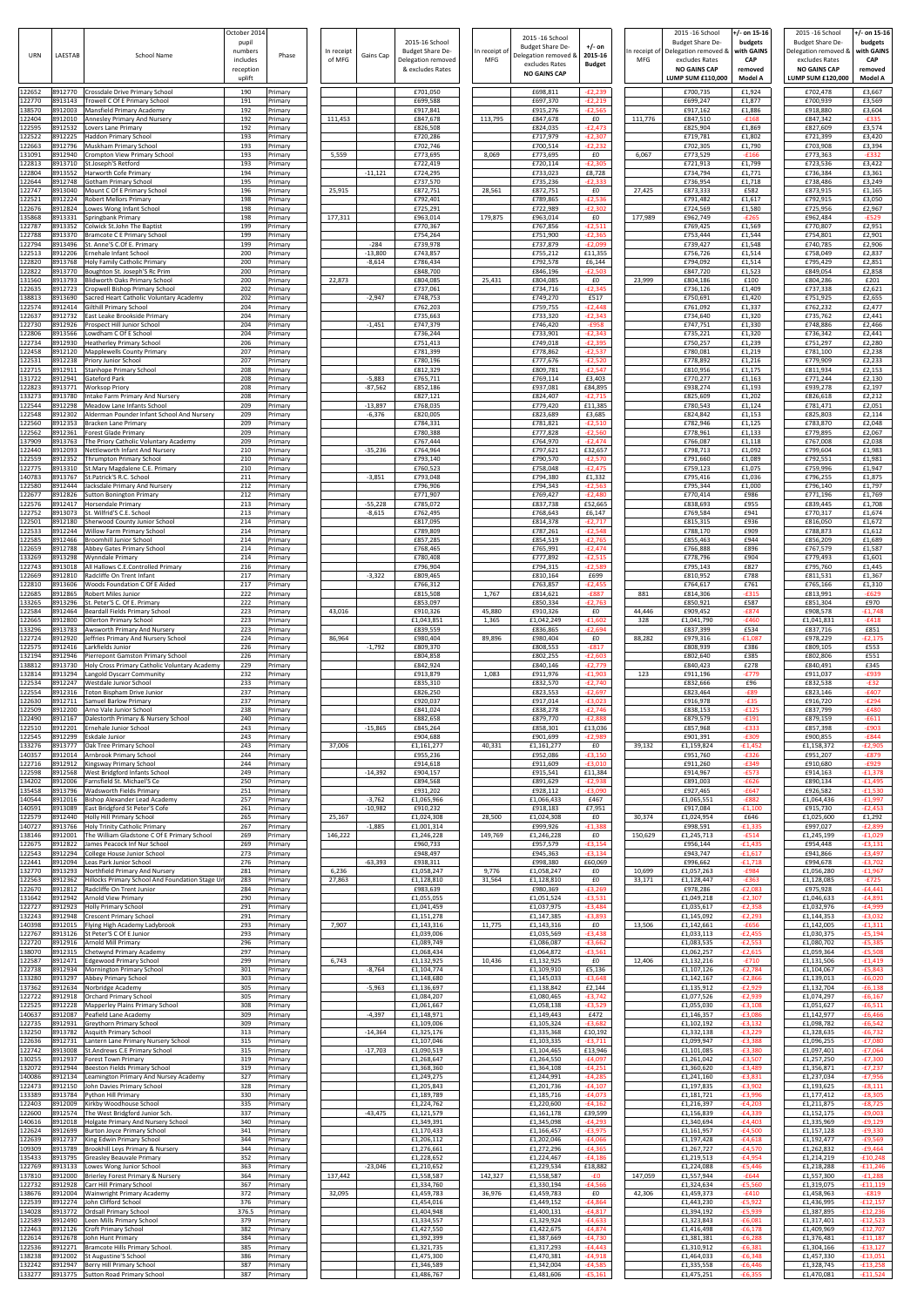| URN                        | LAESTAB                       | <b>School Name</b>                                                                                              | October 2014<br>pupil<br>numbers<br>includes<br>reception<br>uplift | Phase                                     | In receipt<br>of MFG | Gains Cap             | 2015-16 School<br><b>Budget Share De-</b><br>Delegation removed<br>& excludes Rates | In receipt of<br><b>MFG</b> | 2015 -16 School<br><b>Budget Share De-</b><br>Delegation removed &<br>excludes Rates<br><b>NO GAINS CAP</b> | +/- on<br>2015-16<br><b>Budget</b>  | In receipt of<br><b>MFG</b> | 2015 -16 School<br><b>Budget Share De-</b><br>Delegation removed &<br>excludes Rates<br><b>NO GAINS CAP</b><br>LUMP SUM £110.000 | /- on 15-16<br>budgets<br>with GAINS<br>CAP<br>removed<br>Model A | 2015 - 16 School<br>Budget Share De-<br>Delegation removed &<br>excludes Rates<br><b>NO GAINS CAP</b><br>LUMP SUM £120,000 | +/- on 15-16<br>budgets<br>with GAINS<br>CAP<br>removed<br>Model A |
|----------------------------|-------------------------------|-----------------------------------------------------------------------------------------------------------------|---------------------------------------------------------------------|-------------------------------------------|----------------------|-----------------------|-------------------------------------------------------------------------------------|-----------------------------|-------------------------------------------------------------------------------------------------------------|-------------------------------------|-----------------------------|----------------------------------------------------------------------------------------------------------------------------------|-------------------------------------------------------------------|----------------------------------------------------------------------------------------------------------------------------|--------------------------------------------------------------------|
| 122652<br>122770           | 8912770<br>3913143            | Crossdale Drive Primary School<br>Trowell C Of E Primary School                                                 | 190<br>191                                                          | Primary<br>rimary                         |                      |                       | £701,050<br>£699,588                                                                |                             | £698,811<br>£697,370                                                                                        | $-E2,239$<br>$-E2,219$              |                             | £700,735<br>£699,247                                                                                                             | £1,924<br>£1,877                                                  | £702,478<br>£700,939                                                                                                       | £3,667<br>£3,569                                                   |
| 138570<br>122404           | 8912003<br>3912010            | Mansfield Primary Academy<br>Annesley Primary And Nursery                                                       | 192<br>192                                                          | Primary<br>rimary                         | 111,453              |                       | £917,841<br>£847,678                                                                | 113,795                     | £915,276<br>£847,678                                                                                        | $-£2,565$<br>£0                     | 111,776                     | £917,162<br>£847,510                                                                                                             | £1,886<br>$-£168$                                                 | £918,880<br>£847,342                                                                                                       | £3,604<br>$-E335$                                                  |
| 122595<br>122522           | 3912532<br>3912225            | Lovers Lane Primary<br>Haddon Primary School                                                                    | 192<br>193                                                          | Primary<br>Primary                        |                      |                       | £826,508<br>£720,286                                                                |                             | £824,035<br>£717,979                                                                                        | $-E2,473$<br>$-E2,307$              |                             | £825,904<br>£719,781                                                                                                             | £1,869<br>£1,802                                                  | £827,609<br>£721,399                                                                                                       | £3,574<br>£3,420                                                   |
| 122663<br>131091<br>122813 | 3912796<br>3912940<br>3913710 | Muskham Primary School<br>Crompton View Primary School<br>St.Joseph'S Retford                                   | 193<br>193<br>193                                                   | <sup>9</sup> rimary<br>Primary<br>Primary | 5,559                |                       | £702,746<br>£773,695<br>£722,419                                                    | 8,069                       | £700,514<br>£773,695<br>£720,114                                                                            | $-E2,232$<br>£0<br>$-E2,305$        | 6,067                       | £702,305<br>£773,529<br>£721,913                                                                                                 | £1,790<br>$-£166$<br>£1,799                                       | £703,908<br>£773,363<br>£723,536                                                                                           | £3,394<br>$-E332$<br>£3,422                                        |
| 122804<br>122644           | 8913552<br>912748             | Harworth Cofe Primary<br>Gotham Primary School                                                                  | 194<br>195                                                          | Primary<br>rimary                         |                      | $-11,121$             | £724,295<br>£737,570                                                                |                             | £733,023<br>£735,236                                                                                        | £8,728<br>$-E2,33$                  |                             | £734,794<br>£736,954                                                                                                             | £1,771<br>£1,718                                                  | £736,384<br>£738,486                                                                                                       | £3,361<br>£3,249                                                   |
| 122747<br>122521           | 3913040<br>8912224            | Mount C Of E Primary School<br><b>Robert Mellors Primary</b>                                                    | 196<br>198                                                          | Primary<br>Primary                        | 25,915               |                       | £872,751<br>£792,401                                                                | 28,561                      | £872,751<br>£789,865                                                                                        | £0<br>$-E2,536$                     | 27,425                      | £873,333<br>£791,482                                                                                                             | £582<br>£1,617                                                    | £873,915<br>£792,915                                                                                                       | £1,165<br>£3,050                                                   |
| 122676<br>135868           | 3912824<br>8913331            | Lowes Wong Infant School<br>Springbank Primary                                                                  | 198<br>198                                                          | Primary<br>rimary                         | 177,311              |                       | £725,291<br>£963,014                                                                | 179,875                     | £722,989<br>£963,014                                                                                        | $-E2.302$<br>£0                     | 177,989                     | £724,569<br>£962,749                                                                                                             | £1,580<br>$-E265$                                                 | £725,956<br>£962,484                                                                                                       | £2,967<br>$-£529$                                                  |
| 122787<br>122788<br>122794 | 3913352<br>8913370<br>3913496 | Colwick St.John The Baptist<br><b>Bramcote C E Primary School</b><br>St. Anne'S C.Of E. Primary                 | 199<br>199<br>199                                                   | Primary<br>Primary<br>Primary             |                      | $-284$                | £770,367<br>£754,264<br>£739,978                                                    |                             | £767,856<br>£751,900<br>£737,879                                                                            | $-E2,511$<br>$-E2,365$<br>$-E2,099$ |                             | £769,425<br>£753,444<br>£739,427                                                                                                 | £1,569<br>£1,544<br>£1,548                                        | £770,807<br>£754,801<br>£740,785                                                                                           | £2,951<br>£2,901<br>£2,906                                         |
| 122513<br>122820           | 3912206<br>3913768            | Ernehale Infant School<br>Holy Family Catholic Primary                                                          | 200<br>200                                                          | <sup>9</sup> rimary<br>Primary            |                      | $-13,800$<br>$-8,614$ | £743,857<br>£786,434                                                                |                             | £755,212<br>£792,578                                                                                        | £11,355<br>£6,144                   |                             | £756,726<br>£794,092                                                                                                             | £1,514<br>£1,514                                                  | £758,049<br>£795,429                                                                                                       | £2,837<br>£2,851                                                   |
| 122822<br>131560           | 8913770<br>3913793            | Boughton St. Joseph'S Rc Prim<br><b>Blidworth Oaks Primary School</b>                                           | 200<br>200                                                          | Primary<br>Primary                        | 22,873               |                       | £848,700<br>£804,085                                                                | 25,431                      | £846,196<br>£804,085                                                                                        | $-E2,503$<br>£0                     | 23,999                      | £847,720<br>£804,186                                                                                                             | £1,523<br>£100                                                    | £849,054<br>£804,286                                                                                                       | £2,858<br>£201                                                     |
| 122635<br>138813           | 3912723<br>8913690            | Cropwell Bishop Primary School<br>Sacred Heart Catholic Voluntary Academy                                       | 202<br>202<br>204                                                   | Primary<br>Primary                        |                      | $-2,947$              | £737,061<br>£748,753                                                                |                             | £734,716<br>£749,270                                                                                        | $-E2,345$<br>£517                   |                             | £736,126<br>£750,691                                                                                                             | £1,409<br>£1,420<br>£1,337                                        | £737,338<br>£751,925<br>£762,232                                                                                           | £2,621<br>£2,655<br>£2,477                                         |
| 122574<br>122637<br>122730 | 3912414<br>3912732<br>3912926 | Gilthill Primary School<br>East Leake Brookside Primary<br>Prospect Hill Junior School                          | 204<br>204                                                          | Primary<br>Primary<br>Primary             |                      | $-1,451$              | £762,203<br>£735,663<br>£747,379                                                    |                             | £759,755<br>£733,320<br>£746,420                                                                            | $-E2,448$<br>$-E2,343$<br>$-£958$   |                             | £761,092<br>£734,640<br>£747,751                                                                                                 | £1,320<br>£1,330                                                  | £735,762<br>£748,886                                                                                                       | £2,441<br>£2,466                                                   |
| 122806<br>122734           | 3913566<br>3912930            | Lowdham C Of E School<br><b>Heatherley Primary School</b>                                                       | 204<br>206                                                          | Primary<br>Primary                        |                      |                       | £736,244<br>£751,413                                                                |                             | £733,901<br>£749,018                                                                                        | $-E2,343$<br>$-E2,395$              |                             | £735,221<br>£750,257                                                                                                             | £1,320<br>£1,239                                                  | £736,342<br>£751,297                                                                                                       | £2,441<br>£2,280                                                   |
| 122458<br>122531           | 3912120<br>8912238            | <b>Mapplewells County Primary</b><br>Priory Junior School                                                       | 207<br>207                                                          | Primary<br>Primary                        |                      |                       | £781,399<br>£780,196                                                                |                             | £778,862<br>£777,676                                                                                        | $-E2,537$<br>$-E2,520$              |                             | £780,081<br>£778,892                                                                                                             | £1,219<br>£1,216                                                  | £781,100<br>£779,909                                                                                                       | £2,238<br>£2,233                                                   |
| 122715<br>131722<br>122823 | 3912911<br>3912941<br>3913771 | <b>Stanhope Primary School</b><br>Gateford Park<br><b>Worksop Priory</b>                                        | 208<br>208<br>208                                                   | Primary<br>Primary<br>Primary             |                      | $-5,883$<br>$-87,562$ | £812,329<br>£765,711<br>£852,186                                                    |                             | £809,781<br>£769,114<br>£937,081                                                                            | $-E2,547$<br>£3,403<br>£84,895      |                             | £810,956<br>£770,277<br>£938,274                                                                                                 | £1,175<br>£1,163<br>£1,193                                        | £811,934<br>£771,244<br>£939,278                                                                                           | £2,153<br>£2,130<br>£2,197                                         |
| 133273<br>122544           | 8913780<br>912298             | Intake Farm Primary And Nursery<br>Meadow Lane Infants School                                                   | 208<br>209                                                          | Primary<br>Primary                        |                      | $-13,897$             | £827,121<br>£768,035                                                                |                             | £824,407<br>£779,420                                                                                        | $-E2,715$<br>£11,385                |                             | £825,609<br>£780,543                                                                                                             | £1,202<br>£1,124                                                  | £826,618<br>£781,471                                                                                                       | £2,212<br>£2,051                                                   |
| 122548<br>122560           | 3912302<br>3912353            | Alderman Pounder Infant School And Nursery<br>Bracken Lane Primary                                              | 209<br>209                                                          | Primary<br>Primary                        |                      | $-6,376$              | £820,005<br>£784,331                                                                |                             | £823,689<br>£781,821                                                                                        | £3,685<br>$-E2,510$                 |                             | £824,842<br>£782,946                                                                                                             | £1,153<br>£1,125                                                  | £825,803<br>£783,870                                                                                                       | £2,114<br>£2,048                                                   |
| 122562<br>137909<br>122440 | 3912361<br>8913763<br>3912093 | <b>Forest Glade Primary</b><br>The Priory Catholic Voluntary Academy                                            | 209<br>209<br>210                                                   | Primary<br>rimary                         |                      | $-35,236$             | £780,388<br>£767,444<br>£764,964                                                    |                             | £777,828<br>£764,970<br>£797,621                                                                            | $-£2,560$<br>$-E2,474$<br>£32,657   |                             | £778,961<br>£766,087<br>£798,713                                                                                                 | £1,133<br>£1,118<br>£1,092                                        | £779,895<br>£767,008<br>£799,604                                                                                           | £2,067<br>£2,038<br>£1,983                                         |
| 122559<br>122775           | 8912352<br>3913310            | Nettleworth Infant And Nursery<br><b>Thrumpton Primary School</b><br>St.Mary Magdalene C.E. Primary             | 210<br>210                                                          | Primary<br>Primary<br>Primary             |                      |                       | £793,140<br>£760,523                                                                |                             | £790,570<br>£758,048                                                                                        | $-E2,570$<br>$-E2,475$              |                             | £791,660<br>£759,123                                                                                                             | £1,089<br>£1,075                                                  | £792,551<br>£759,996                                                                                                       | £1,981<br>£1,947                                                   |
| 140783<br>122580           | 3913767<br>3912444            | St.Patrick'S R.C. School<br>Jacksdale Primary And Nursery                                                       | 211<br>212                                                          | <sup>9</sup> rimary<br>Primary            |                      | $-3,851$              | £793,048<br>£796,906                                                                |                             | £794,380<br>£794,343                                                                                        | £1,332<br>$-E2,563$                 |                             | £795,416<br>£795,344                                                                                                             | £1,036<br>£1,000                                                  | £796,255<br>£796,140                                                                                                       | £1,875<br>£1,797                                                   |
| 122677<br>122576           | 3912826<br>3912417            | <b>Sutton Bonington Primary</b><br><b>Horsendale Primary</b>                                                    | 212<br>213                                                          | rimary<br>Primary                         |                      | $-55,228$             | £771,907<br>£785,072                                                                |                             | £769,427<br>£837,738                                                                                        | $-E2.480$<br>£52,665                |                             | £770,414<br>£838,693                                                                                                             | £986<br>£955                                                      | £771,196<br>£839,445                                                                                                       | £1,769<br>£1,708                                                   |
| 122752<br>122501<br>122533 | 8913073<br>8912180<br>8912244 | St. Wilfrid'S C.E. School<br>Sherwood County Junior School<br>Willow Farm Primary School                        | 213<br>214<br>214                                                   | Primary<br>Primary<br>Primary             |                      | $-8,615$              | £762,495<br>£817,095<br>£789,809                                                    |                             | £768,643<br>£814,378<br>£787,261                                                                            | £6,147<br>$-£2,717$<br>$-E2,548$    |                             | £769,584<br>£815,315<br>£788,170                                                                                                 | £941<br>£936<br>£909                                              | £770,317<br>£816,050<br>£788,873                                                                                           | £1,674<br>£1,672<br>£1,612                                         |
| 122585<br>122659           | 3912466<br>3912788            | Broomhill Junior School<br>Abbey Gates Primary School                                                           | 214<br>214                                                          | Primary<br>Primary                        |                      |                       | £857,285<br>£768,465                                                                |                             | £854,519<br>£765,991                                                                                        | $-E2,765$<br>$-E2,474$              |                             | £855,463<br>£766,888                                                                                                             | £944<br>£896                                                      | £856,209<br>£767,579                                                                                                       | £1,689<br>£1,587                                                   |
| 133269<br>122743           | 8913298<br>3913018            | <b>Wynndale Primary</b><br>All Hallows C.E.Controlled Primary                                                   | 214<br>216                                                          | Primary<br>Primary                        |                      |                       | £780,408<br>£796,904                                                                |                             | £777,892<br>£794,315                                                                                        | $-£2,515$<br>$-E2,589$              |                             | £778,796<br>£795,143                                                                                                             | £904<br>£827                                                      | £779,493<br>£795,760                                                                                                       | £1,601<br>£1,445                                                   |
| 122669<br>122810           | 3912810<br>8913606            | Radcliffe On Trent Infant<br>Woods Foundation C Of E Aided                                                      | 217<br>217                                                          | Primary<br>Primary                        |                      | $-3,322$              | £809,465<br>£766,312                                                                |                             | £810,164<br>£763,857                                                                                        | £699<br>$-E2,45$                    |                             | £810,952<br>£764,617                                                                                                             | £788<br>£761                                                      | £811,531<br>£765,166                                                                                                       | £1,367<br>£1,310                                                   |
| 122685<br>133265<br>122584 | 3912865<br>3913296<br>8912464 | Robert Miles Junior<br>St. Peter'S C. Of E. Primary<br><b>Beardall Fields Primary School</b>                    | 222<br>222<br>223                                                   | Primary<br><sup>9</sup> rimary<br>Primary | 43,016               |                       | £815,508<br>£853,097<br>£910,326                                                    | 1,767<br>45,880             | £814,621<br>£850,334<br>£910,326                                                                            | $-E887$<br>$-E2,763$<br>£0          | 881<br>44,446               | £814,306<br>£850,921<br>£909,452                                                                                                 | $-£315$<br>£587<br>$-E874$                                        | £813,991<br>£851,304<br>£908,578                                                                                           | $-£629$<br>£970<br>$-£1,748$                                       |
| 122665<br>133296           | 8912800<br>3913783            | Ollerton Primary School<br>Awsworth Primary And Nursery                                                         | 223<br>223                                                          | Primary<br>Primary                        |                      |                       | £1,043,851<br>£839,559                                                              | 1,365                       | £1,042,249<br>£836,865                                                                                      | $-£1,602$<br>$-£2,694$              | 328                         | £1,041,790<br>£837,399                                                                                                           | $-£460$<br>£534                                                   | £1,041,831<br>£837,716                                                                                                     | $-£418$<br>£851                                                    |
| 122724<br>122575           | 3912920<br>8912416            | Jeffries Primary And Nursery Schoo<br>Larkfields Junior                                                         | 224<br>226                                                          | Primary<br>Primary                        | 86,964               | $-1,792$              | £980,404<br>£809,370                                                                | 89,896                      | £980,404<br>£808,553                                                                                        | £0<br>$-E817$                       | 88,282                      | £979,316<br>£808,939                                                                                                             | $-£1,087$<br>£386                                                 | £978,229<br>£809,105                                                                                                       | $-E2,175$<br>£553                                                  |
| 132194<br>138812<br>132814 | 8912946<br>8913730<br>3913294 | Pierrepont Gamston Primary School<br>Holy Cross Primary Catholic Voluntary Academy<br>Langold Dyscarr Community | 226<br>229<br>232                                                   | Primary<br>Primary<br>Primary             |                      |                       | £804,858<br>£842,924<br>£913,879                                                    | 1,083                       | £802,255<br>£840,146<br>£911,976                                                                            | $-E2,603$<br>$-E2,779$<br>$-£1,903$ | 123                         | £802,640<br>£840,423<br>£911,196                                                                                                 | £385<br>£278<br>$-E779$                                           | £802,806<br>£840,491<br>£911,037                                                                                           | £551<br>£345<br>£939                                               |
| 122534<br>122554           | 8912247<br>3912316            | Westdale Junior School<br>Toton Bispham Drive Junior                                                            | 233<br>237                                                          | Primary<br>Primary                        |                      |                       | £835,310<br>£826,250                                                                |                             | £832,570<br>£823,553                                                                                        | $-E2,740$<br>$-E2,697$              |                             | £832,666<br>£823,464                                                                                                             | £96<br>$-E89$                                                     | £832,538<br>£823,146                                                                                                       | $-E32$<br>$-£407$                                                  |
| 122630<br>122509           | 3912711<br>3912200            | Samuel Barlow Primary<br>Arno Vale Junior School                                                                | 237<br>238                                                          | Primary<br>Primary                        |                      |                       | £920,037<br>£841,024                                                                |                             | £917,014<br>£838,278                                                                                        | $-£3,023$<br>$-E2,746$              |                             | £916,978<br>£838,153                                                                                                             | $-£35$<br>$-£125$                                                 | £916,720<br>£837,799                                                                                                       | $-E294$<br>$-£480$                                                 |
| 122490<br>122510<br>122545 | 8912167<br>3912201<br>8912299 | Dalestorth Primary & Nursery School<br>Ernehale Junior School<br>Eskdale Junior                                 | 240<br>243<br>243                                                   | Primary<br>Primary                        |                      | $-15,865$             | £882,658<br>£845,264<br>£904,688                                                    |                             | £879,770<br>£858,301<br>£901,699                                                                            | $-E2,888$<br>£13,036<br>$-E2,989$   |                             | £879,579<br>£857,968<br>£901,391                                                                                                 | $-£191$<br>$-E333$<br>$-£309$                                     | £879,159<br>£857,398<br>£900,855                                                                                           | $-6611$<br>$-£903$<br>$-E844$                                      |
| 133276<br>140357           | 8913777<br>3912014            | Oak Tree Primary School<br>Arnbrook Primary School                                                              | 243<br>244                                                          | Primary<br>Primary<br>Primary             | 37,006               |                       | £1,161,277<br>£955,236                                                              | 40,331                      | £1,161,277<br>£952,086                                                                                      | £0<br>$-£3,150$                     | 39,132                      | £1,159,824<br>£951,760                                                                                                           | $-£1,452$<br>$-£326$                                              | £1,158,372<br>£951,207                                                                                                     | $-E2,905$<br>$-E879$                                               |
| 122716<br>122598           | 3912912<br>3912568            | Kingsway Primary School<br>West Bridgford Infants School                                                        | 244<br>249                                                          | Primary<br>Primary                        |                      | $-14,392$             | £914,618<br>£904,157                                                                |                             | £911,609<br>£915,541                                                                                        | $-£3,010$<br>£11,384                |                             | £911,260<br>£914,967                                                                                                             | $-E349$<br>$-E573$                                                | £910,680<br>£914,163                                                                                                       | $-£929$<br>$-£1,378$                                               |
| 134202<br>135458           | 8912006<br>3913796            | Farnsfield St. Michael'S Ce<br>Wadsworth Fields Primary                                                         | 250<br>251                                                          | Primary<br>Primary                        |                      |                       | £894,568<br>£931,202                                                                |                             | £891,629<br>£928,112                                                                                        | $-E2,938$<br>$-£3,090$              |                             | £891,003<br>£927,465                                                                                                             | $-£626$<br>$-£647$                                                | £890,134<br>£926,582                                                                                                       | $-£1.495$<br>$-£1,530$                                             |
| 140544<br>140591<br>122579 | 3912016<br>3913089<br>3912440 | Bishop Alexander Lead Academy<br>East Bridgford St Peter'S Cofe<br>Holly Hill Primary School                    | 257<br>261<br>265                                                   | Primary<br>Primary<br>Primary             | 25,167               | $-3,762$<br>$-10,982$ | £1,065,966<br>£910,232<br>£1,024,308                                                | 28,500                      | £1,066,433<br>£918,183<br>£1,024,308                                                                        | £467<br>£7,951<br>£0                | 30,374                      | £1,065,551<br>£917,084<br>£1,024,954                                                                                             | $-E882$<br>$-£1,100$<br>£646                                      | £1,064,436<br>£915,730<br>£1,025,600                                                                                       | $-£1,997$<br>$-E2,453$<br>£1,292                                   |
| 140727<br>138146           | 3913766<br>3912001            | Holy Trinity Catholic Primary<br>The William Gladstone C Of E Primary School                                    | 267<br>269                                                          | Primary<br>Primary                        | 146,222              | $-1,885$              | £1,001,314<br>£1,246,228                                                            | 149,769                     | £999,926<br>£1,246,228                                                                                      | $-£1,388$<br>£0                     | 150,629                     | £998,591<br>£1,245,713                                                                                                           | $-£1,335$<br>$-£514$                                              | £997,027<br>£1,245,199                                                                                                     | $-E2,899$<br>$-£1,029$                                             |
| 122675<br>122543<br>122441 | 8912822<br>3912294            | James Peacock Inf Nur School<br>College House Junior School                                                     | 269<br>273<br>276                                                   | Primary<br>Primary                        |                      |                       | £960,733<br>£948,497                                                                |                             | £957,579<br>£945,363                                                                                        | $-£3,154$<br>$-£3,134$              |                             | £956,144<br>£943,747                                                                                                             | $-£1,435$<br>$-£1,617$                                            | £954,448<br>£941,866                                                                                                       | $-£3,131$<br>$-£3,497$                                             |
| 132770<br>122563           | 3912094<br>8913293<br>3912362 | Leas Park Junior School<br>Northfield Primary And Nursery<br>Hillocks Primary School And Foundation Stage Ur    | 281<br>283                                                          | Primary<br>Primary<br>Primary             | 6,236<br>27,863      | $-63,393$             | £938,311<br>£1,058,247<br>£1,128,810                                                | 9,776<br>31,564             | £998,380<br>£1,058,247<br>£1,128,810                                                                        | £60,069<br>£0<br>£0                 | 10,699<br>33,171            | £996,662<br>£1,057,263<br>£1,128,447                                                                                             | $-£1,718$<br>$-£984$<br>$-E363$                                   | £994,678<br>£1,056,280<br>£1,128,085                                                                                       | $-£3,702$<br>$-£1,967$<br>$-E725$                                  |
| 122670<br>131642           | 8912812<br>3912942            | Radcliffe On Trent Junior<br><b>Arnold View Primary</b>                                                         | 284<br>290                                                          | Primary<br>Primary                        |                      |                       | £983,639<br>£1,055,055                                                              |                             | £980,369<br>£1,051,524                                                                                      | $-£3,269$<br>$-£3,532$              |                             | £978,286<br>£1,049,218                                                                                                           | $-E2,083$<br>$-E2,307$                                            | £975,928<br>£1,046,633                                                                                                     | $-£4,441$<br>$-£4,891$                                             |
| 122727<br>132243           | 8912923<br>3912948            | <b>Holly Primary School</b><br><b>Crescent Primary School</b>                                                   | 291<br>291                                                          | Primary<br>Primary                        |                      |                       | £1,041,459<br>£1,151,278                                                            |                             | £1,037,975<br>£1,147,385                                                                                    | $-£3,484$<br>$-£3,893$              |                             | £1,035,617<br>£1,145,092                                                                                                         | $-E2,358$<br>$-E2,293$                                            | £1,032,976<br>£1,144,353                                                                                                   | $-£4,999$<br>$-£3,032$                                             |
| 140398<br>122767<br>122720 | 3912015<br>3913126<br>8912916 | Flying High Academy Ladybrook<br>St Peter'S C Of E Junior<br><b>Arnold Mill Primary</b>                         | 293<br>293<br>296                                                   | Primary<br>Primary<br>Primary             | 7,907                |                       | £1,143,316<br>£1,039,006<br>£1,089,749                                              | 11,775                      | £1,143,316<br>£1,035,569<br>£1,086,087                                                                      | £0<br>$-£3,438$<br>$-£3,662$        | 13,506                      | £1,142,661<br>£1,033,113<br>£1,083,535                                                                                           | $-£656$<br>$-E2,455$<br>$-E2.553$                                 | £1,142,005<br>£1,030,375<br>£1,080,702                                                                                     | $-£1,311$<br>$-£5,194$<br>$-£5,385$                                |
| 138070<br>122587           | 3912315<br>3912471            | Chetwynd Primary Academy<br><b>Edgewood Primary School</b>                                                      | 297<br>299                                                          | Primary<br>Primary                        | 6,743                |                       | £1,068,434<br>£1,132,925                                                            | 10,436                      | £1,064,872<br>£1,132,925                                                                                    | $-£3,56$<br>£0                      | 12,406                      | £1,062,257<br>£1,132,216                                                                                                         | $-£2,615$<br>$-E710$                                              | £1,059,364<br>£1,131,506                                                                                                   | $-£5,508$<br>$-£1,419$                                             |
| 122738<br>133280           | 8912934<br>3913297            | Mornington Primary School<br>Abbey Primary School                                                               | 301<br>303                                                          | Primary<br>Primary                        |                      | $-8,764$              | £1,104,774<br>£1,148,680                                                            |                             | £1,109,910<br>£1,145,033                                                                                    | £5,136<br>$-£3,648$                 |                             | £1,107,126<br>£1,142,167                                                                                                         | $-E2,784$<br>$-E2,866$                                            | £1,104,067<br>£1,139,013                                                                                                   | $-£5,843$<br>$-£6,020$                                             |
| 137362<br>122722<br>122525 | 3912634<br>3912918<br>8912228 | Norbridge Academy<br><b>Orchard Primary School</b><br>Mapperley Plains Primary School                           | 305<br>305<br>308                                                   | <sup>9</sup> rimary<br>Primary<br>Primary |                      | $-5,963$              | £1,136,697<br>£1,084,207<br>£1,061,667                                              |                             | £1,138,842<br>£1,080,465<br>£1,058,138                                                                      | £2,144<br>$-£3,742$<br>$-£3.529$    |                             | £1,135,912<br>£1,077,526<br>£1,055,030                                                                                           | $-E2,929$<br>$-E2,939$<br>$-E3.108$                               | £1,132,704<br>£1,074,297<br>£1,051,627                                                                                     | $-£6,138$<br>$-£6,167$<br>$-6.511$                                 |
| 140637<br>122735           | 8912087<br>8912931            | Peafield Lane Academy<br>Greythorn Primary School                                                               | 309<br>309                                                          | Primary<br>Primary                        |                      | $-4,397$              | £1,148,971<br>£1,109,006                                                            |                             | £1,149,443<br>£1,105,324                                                                                    | £472<br>$-£3,682$                   |                             | £1,146,357<br>£1,102,192                                                                                                         | $-£3,086$<br>$-£3,132$                                            | £1,142,977<br>£1,098,782                                                                                                   | $-£6,466$<br>$-£6,542$                                             |
| 132250<br>122636           | 8913782<br>8912731            | Asquith Primary School<br>Lantern Lane Primary Nursery School                                                   | 313<br>315                                                          | Primary<br>Primary                        |                      | $-14,364$             | £1,325,176<br>£1,107,046                                                            |                             | £1,335,368<br>£1,103,335                                                                                    | £10,192<br>$-£3,711$                |                             | £1,332,138<br>£1,099,947                                                                                                         | $-£3,229$<br>$-E3,388$                                            | £1,328,635<br>£1,096,255                                                                                                   | $-£6,732$<br>$-£7,080$                                             |
| 122742<br>130255           | 3913008<br>8912937            | St.Andrews C.E Primary School<br><b>Forest Town Primary</b>                                                     | 315<br>319                                                          | Primary<br>Primary                        |                      | $-17,703$             | £1,090,519<br>£1,268,647                                                            |                             | £1,104,465<br>£1,264,550                                                                                    | £13,946<br>$-£4,097$                |                             | £1,101,085<br>£1,261,042                                                                                                         | $-£3,380$<br>$-£3,507$                                            | £1,097,401<br>£1,257,250                                                                                                   | $-£7,064$<br>$-£7,300$                                             |
| 132072<br>140086<br>122473 | 8912944<br>3912134<br>8912150 | Beeston Fields Primary School<br>Leamington Primary And Nursey Academy<br>John Davies Primary School            | 319<br>327<br>328                                                   | Primary<br>Primary<br>Primary             |                      |                       | £1,368,360<br>£1,249,275<br>£1,205,843                                              |                             | £1,364,108<br>£1,244,991<br>£1,201,736                                                                      | $-£4,251$<br>$-£4,285$<br>$-£4,107$ |                             | £1,360,620<br>£1,241,160<br>£1,197,835                                                                                           | $-£3,489$<br>$-£3,831$<br>$-E3,902$                               | £1,356,871<br>£1,237,034<br>£1,193,625                                                                                     | $-E7,237$<br>£7,956-<br>$-E8,111$                                  |
| 133389<br>122403           | 8913784<br>8912009            | Python Hill Primary<br>Kirkby Woodhouse School                                                                  | 330<br>335                                                          | Primary<br>Primary                        |                      |                       | £1,189,789<br>£1,224,762                                                            |                             | £1,185,716<br>£1,220,600                                                                                    | $-£4,073$<br>$-£4,162$              |                             | £1,181,721<br>£1,216,397                                                                                                         | $-£3,996$<br>$-E4,203$                                            | £1,177,412<br>£1,211,875                                                                                                   | $-£8,305$<br>$-£8,725$                                             |
| 122600<br>140616           | 8912574<br>8912018            | The West Bridgford Junior Sch.<br>Holgate Primary And Nursery School                                            | 337<br>340                                                          | Primary<br>Primary                        |                      | $-43,475$             | £1,121,579<br>£1,349,391                                                            |                             | £1,161,178<br>£1,345,098                                                                                    | £39,599<br>$-E4,293$                |                             | £1,156,839<br>£1,340,694                                                                                                         | $-E4,339$<br>$-E4,403$                                            | £1,152,175<br>£1,335,969                                                                                                   | $-£9,003$<br>$-£9,129$                                             |
| 122624<br>122639<br>109309 | 8912699<br>8912737<br>3913789 | <b>Burton Joyce Primary School</b><br>King Edwin Primary School<br>Brookhill Leys Primary & Nursery             | 341<br>344<br>344                                                   | Primary<br>Primary<br>Primary             |                      |                       | £1,170,433<br>£1,206,112<br>£1,276,661                                              |                             | £1,166,457<br>£1,202,046<br>£1,272,296                                                                      | $-£3,975$<br>$-£4,066$<br>$-£4,365$ |                             | £1,161,957<br>£1,197,428<br>£1,267,727                                                                                           | $-£4,500$<br>$-£4,618$<br>$-E4,570$                               | £1,157,128<br>£1,192,477<br>£1,262,832                                                                                     | $-£9,330$<br>$-£9,569$<br>$-£9,464$                                |
| 135433<br>122769           | 8913795<br>8913133            | <b>Greasley Beauvale Primary</b><br>Lowes Wong Junior School                                                    | 352<br>363                                                          | Primary<br>Primary                        |                      | $-23,046$             | £1,228,652<br>£1,210,652                                                            |                             | £1,224,467<br>£1,229,534                                                                                    | $-£4,186$<br>£18,882                |                             | £1,219,513<br>£1,224,088                                                                                                         | $-£4,954$<br>$-£5,446$                                            | £1,214,219<br>£1,218,288                                                                                                   | $-£10,248$<br>$-£11,246$                                           |
| 137810<br>122732           | 3912000<br>8912928            | Brierley Forest Primary & Nursery<br>Carr Hill Primary School                                                   | 364<br>367                                                          | Primary<br>Primary                        | 137,442              |                       | £1,558,587<br>£1,334,760                                                            | 142,327                     | £1,558,587<br>£1,330,194                                                                                    | -£0<br>$-£4,566$                    | 147,059                     | £1,557,944<br>£1,324,634                                                                                                         | $-£644$<br>$-£5,560$                                              | £1,557,300<br>£1,319,075                                                                                                   | $-£1,288$<br>$-f11,119$                                            |
| 138676<br>122539           | 8912004<br>8912274<br>8913772 | Wainwright Primary Academy<br>John Clifford School<br><b>Ordsall Primary School</b>                             | 372<br>376<br>376.5                                                 | Primary<br>Primary                        | 32,095               |                       | £1,459,783<br>£1,454,016<br>£1,404,948                                              | 36,976                      | £1,459,783<br>£1,449,152<br>£1,400,131                                                                      | £0<br>$-£4,864$<br>$-£4,817$        | 42,306                      | £1,459,373<br>£1,443,230<br>£1,394,192                                                                                           | $-£410$<br>$-£5,922$<br>$-£5,939$                                 | £1,458,963<br>£1,436,995<br>£1,387,895                                                                                     | $-E819$<br>$-f12,157$<br>$-f12,236$                                |
| 134028<br>122589<br>122463 | 3912490<br>8912126            | Leen Mills Primary School<br>Croft Primary School                                                               | 379<br>382                                                          | Primary<br>Primary<br>Primary             |                      |                       | £1,334,557<br>£1,427,550                                                            |                             | £1,329,924<br>£1,422,675                                                                                    | $-£4,633$<br>$-£4,874$              |                             | £1,323,843<br>£1,416,498                                                                                                         | $-£6,081$<br>$-£6,178$                                            | £1,317,401<br>£1,409,969                                                                                                   | $-f12,523$<br>$-f12,707$                                           |
| 122614<br>122536           | 8912678<br>3912271            | John Hunt Primary<br>Bramcote Hills Primary School.                                                             | 384<br>385                                                          | Primary<br>Primary                        |                      |                       | £1,392,399<br>£1,321,735                                                            |                             | £1,387,669<br>£1,317,293                                                                                    | $-E4,730$<br>$-E4,443$              |                             | £1,381,381<br>£1,310,912                                                                                                         | $-£6,288$<br>$-£6,381$                                            | £1,376,481<br>£1,304,166                                                                                                   | $-£11,187$<br>£13,127                                              |
| 138238<br>132242           | 8912002<br>8912947            | St Augustine'S School<br>Berry Hill Primary School                                                              | 386<br>387                                                          | Primary<br>Primary                        |                      |                       | £1,475,300<br>£1,346,589                                                            |                             | £1,470,381<br>£1,342,004                                                                                    | $-£4,918$<br>$-£4,585$              |                             | £1,464,033<br>£1,335,558                                                                                                         | $-£6,348$<br>$-£6,446$                                            | £1,457,330<br>£1,328,745                                                                                                   | $-£13,051$<br>$-f13,258$                                           |
| 133277                     |                               | 8913775 Sutton Road Primary School                                                                              | 387                                                                 | Primary                                   |                      |                       | £1,486,767                                                                          |                             | £1,481,606                                                                                                  | $-£5,161$                           |                             | £1,475,251                                                                                                                       | $-£6,355$                                                         | £1,470,081                                                                                                                 | $-£11,524$                                                         |